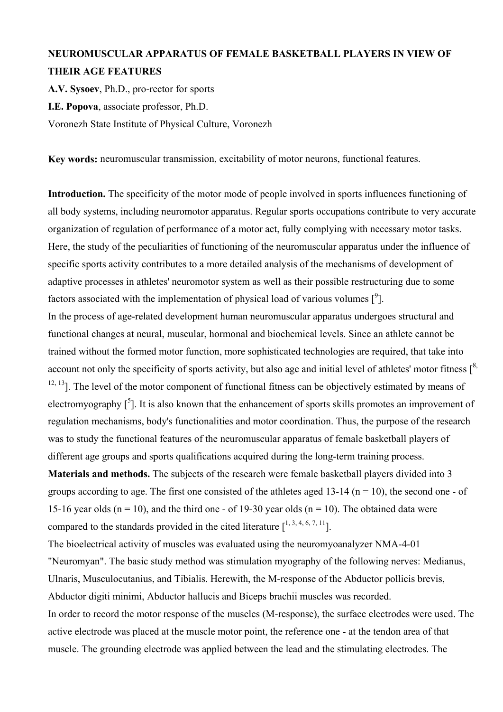## **NEUROMUSCULAR APPARATUS OF FEMALE BASKETBALL PLAYERS IN VIEW OF THEIR AGE FEATURES**

**A.V. Sysoev**, Ph.D., pro-rector for sports **I.E. Popova**, associate professor, Ph.D. Voronezh State Institute of Physical Culture, Voronezh

**Key words:** neuromuscular transmission, excitability of motor neurons, functional features.

**Introduction.** The specificity of the motor mode of people involved in sports influences functioning of all body systems, including neuromotor apparatus. Regular sports occupations contribute to very accurate organization of regulation of performance of a motor act, fully complying with necessary motor tasks. Here, the study of the peculiarities of functioning of the neuromuscular apparatus under the influence of specific sports activity contributes to a more detailed analysis of the mechanisms of development of adaptive processes in athletes' neuromotor system as well as their possible restructuring due to some factors associated with the implementation of physical load of various volumes  $\lceil \sqrt[9]{\rceil}$ . In the process of age-related development human neuromuscular apparatus undergoes structural and functional changes at neural, muscular, hormonal and biochemical levels. Since an athlete cannot be trained without the formed motor function, more sophisticated technologies are required, that take into account not only the specificity of sports activity, but also age and initial level of athletes' motor fitness  $\lceil^8$ ,  $12, 13$ ]. The level of the motor component of functional fitness can be objectively estimated by means of electromyography  $\left[ \begin{array}{c} 5 \end{array} \right]$ . It is also known that the enhancement of sports skills promotes an improvement of regulation mechanisms, body's functionalities and motor coordination. Thus, the purpose of the research was to study the functional features of the neuromuscular apparatus of female basketball players of different age groups and sports qualifications acquired during the long-term training process.

**Materials and methods.** The subjects of the research were female basketball players divided into 3 groups according to age. The first one consisted of the athletes aged 13-14 ( $n = 10$ ), the second one - of 15-16 year olds ( $n = 10$ ), and the third one - of 19-30 year olds ( $n = 10$ ). The obtained data were compared to the standards provided in the cited literature  $\lceil^{1,3,4,6,7,11}\rceil$ .

The bioelectrical activity of muscles was evaluated using the neuromyoanalyzer NMA-4-01 "Neuromyan". The basic study method was stimulation myography of the following nerves: Medianus, Ulnaris, Musculocutanius, and Tibialis. Herewith, the M-response of the Abductor pollicis brevis, Abductor digiti minimi, Abductor hallucis and Biceps brachii muscles was recorded. In order to record the motor response of the muscles (M-response), the surface electrodes were used. The active electrode was placed at the muscle motor point, the reference one - at the tendon area of that muscle. The grounding electrode was applied between the lead and the stimulating electrodes. The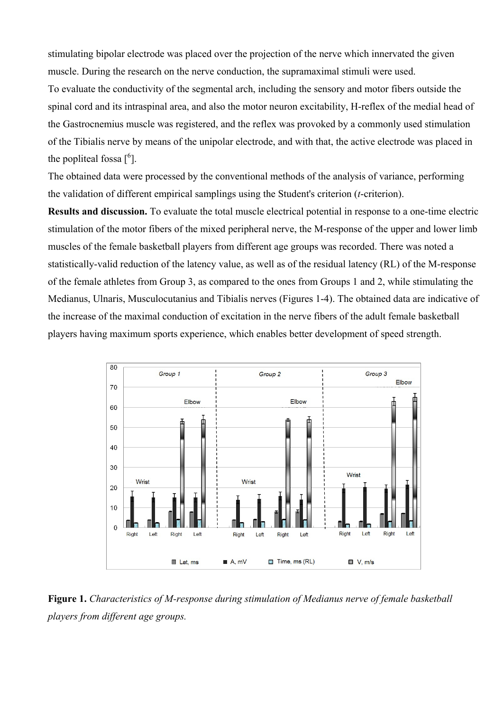stimulating bipolar electrode was placed over the projection of the nerve which innervated the given muscle. During the research on the nerve conduction, the supramaximal stimuli were used. To evaluate the conductivity of the segmental arch, including the sensory and motor fibers outside the spinal cord and its intraspinal area, and also the motor neuron excitability, H-reflex of the medial head of the Gastrocnemius muscle was registered, and the reflex was provoked by a commonly used stimulation of the Tibialis nerve by means of the unipolar electrode, and with that, the active electrode was placed in the popliteal fossa  $[6]$ .

The obtained data were processed by the conventional methods of the analysis of variance, performing the validation of different empirical samplings using the Student's criterion (*t*-criterion).

**Results and discussion.** To evaluate the total muscle electrical potential in response to a one-time electric stimulation of the motor fibers of the mixed peripheral nerve, the M-response of the upper and lower limb muscles of the female basketball players from different age groups was recorded. There was noted a statistically-valid reduction of the latency value, as well as of the residual latency (RL) of the M-response of the female athletes from Group 3, as compared to the ones from Groups 1 and 2, while stimulating the Medianus, Ulnaris, Musculocutanius and Tibialis nerves (Figures 1-4). The obtained data are indicative of the increase of the maximal conduction of excitation in the nerve fibers of the adult female basketball players having maximum sports experience, which enables better development of speed strength.



**Figure 1.** *Characteristics of M-response during stimulation of Medianus nerve of female basketball players from different age groups.*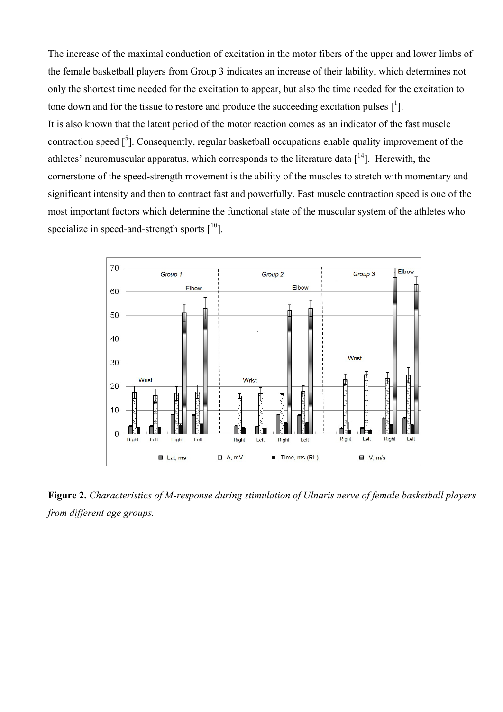The increase of the maximal conduction of excitation in the motor fibers of the upper and lower limbs of the female basketball players from Group 3 indicates an increase of their lability, which determines not only the shortest time needed for the excitation to appear, but also the time needed for the excitation to tone down and for the tissue to restore and produce the succeeding excitation pulses  $\left[ \cdot \right]$ . It is also known that the latent period of the motor reaction comes as an indicator of the fast muscle contraction speed  $\left[\right]$ . Consequently, regular basketball occupations enable quality improvement of the athletes' neuromuscular apparatus, which corresponds to the literature data  $[14]$ . Herewith, the cornerstone of the speed-strength movement is the ability of the muscles to stretch with momentary and significant intensity and then to contract fast and powerfully. Fast muscle contraction speed is one of the most important factors which determine the functional state of the muscular system of the athletes who specialize in speed-and-strength sports  $[10]$ .



**Figure 2.** *Characteristics of M-response during stimulation of Ulnaris nerve of female basketball players from different age groups.*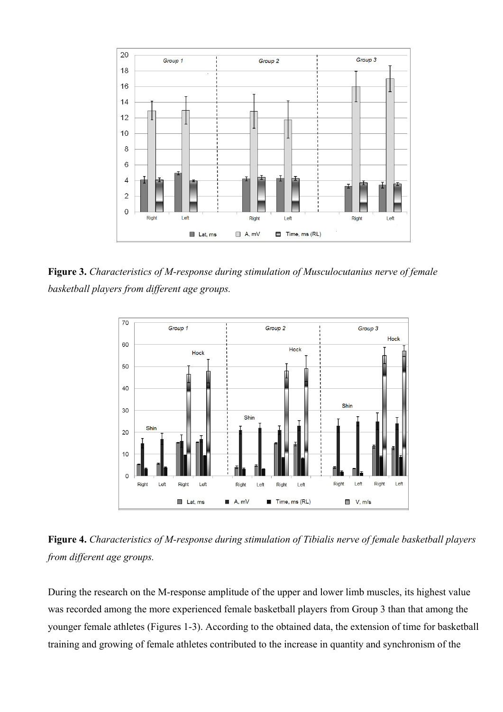

**Figure 3.** *Characteristics of M-response during stimulation of Musculocutanius nerve of female basketball players from different age groups.* 



**Figure 4.** *Characteristics of M-response during stimulation of Tibialis nerve of female basketball players from different age groups.* 

During the research on the M-response amplitude of the upper and lower limb muscles, its highest value was recorded among the more experienced female basketball players from Group 3 than that among the younger female athletes (Figures 1-3). According to the obtained data, the extension of time for basketball training and growing of female athletes contributed to the increase in quantity and synchronism of the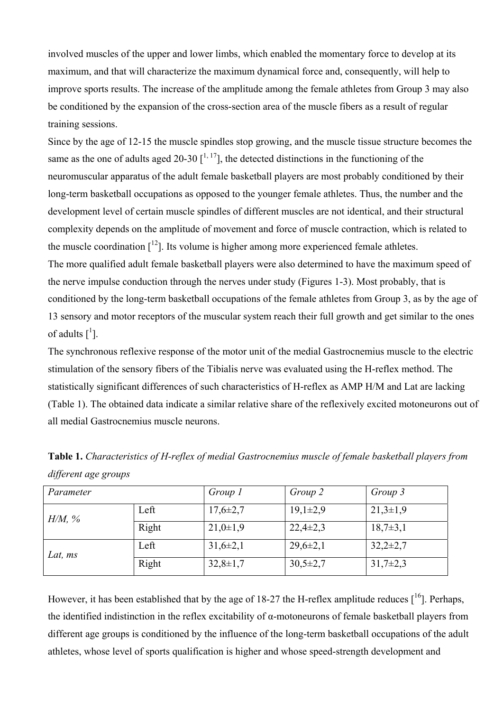involved muscles of the upper and lower limbs, which enabled the momentary force to develop at its maximum, and that will characterize the maximum dynamical force and, consequently, will help to improve sports results. The increase of the amplitude among the female athletes from Group 3 may also be conditioned by the expansion of the cross-section area of the muscle fibers as a result of regular training sessions.

Since by the age of 12-15 the muscle spindles stop growing, and the muscle tissue structure becomes the same as the one of adults aged 20-30  $\int_1^{1,17}$ , the detected distinctions in the functioning of the neuromuscular apparatus of the adult female basketball players are most probably conditioned by their long-term basketball occupations as opposed to the younger female athletes. Thus, the number and the development level of certain muscle spindles of different muscles are not identical, and their structural complexity depends on the amplitude of movement and force of muscle contraction, which is related to the muscle coordination  $\lceil^{12}\rceil$ . Its volume is higher among more experienced female athletes. The more qualified adult female basketball players were also determined to have the maximum speed of

the nerve impulse conduction through the nerves under study (Figures 1-3). Most probably, that is conditioned by the long-term basketball occupations of the female athletes from Group 3, as by the age of 13 sensory and motor receptors of the muscular system reach their full growth and get similar to the ones of adults  $\begin{bmatrix} 1 \end{bmatrix}$ .

The synchronous reflexive response of the motor unit of the medial Gastrocnemius muscle to the electric stimulation of the sensory fibers of the Tibialis nerve was evaluated using the H-reflex method. The statistically significant differences of such characteristics of H-reflex as АMP Н/М and Lat are lacking (Table 1). The obtained data indicate a similar relative share of the reflexively excited motoneurons out of all medial Gastrocnemius muscle neurons.

| Parameter |       | Group 1        | Group 2        | Group 3      |
|-----------|-------|----------------|----------------|--------------|
| $H/M$ , % | Left  | $17,6 \pm 2,7$ | $19,1\pm2,9$   | $21,3\pm1,9$ |
|           | Right | $21,0+1,9$     | $22,4\pm 2,3$  | $18,7\pm3,1$ |
| Lat, ms   | Left  | $31,6\pm2,1$   | $29,6 \pm 2,1$ | $32,2\pm2,7$ |
|           | Right | $32,8 \pm 1,7$ | $30,5 \pm 2,7$ | $31,7\pm2,3$ |

**Table 1.** *Characteristics of H-reflex of medial Gastrocnemius muscle of female basketball players from different age groups*

However, it has been established that by the age of 18-27 the H-reflex amplitude reduces  $[16]$ . Perhaps, the identified indistinction in the reflex excitability of α-motoneurons of female basketball players from different age groups is conditioned by the influence of the long-term basketball occupations of the adult athletes, whose level of sports qualification is higher and whose speed-strength development and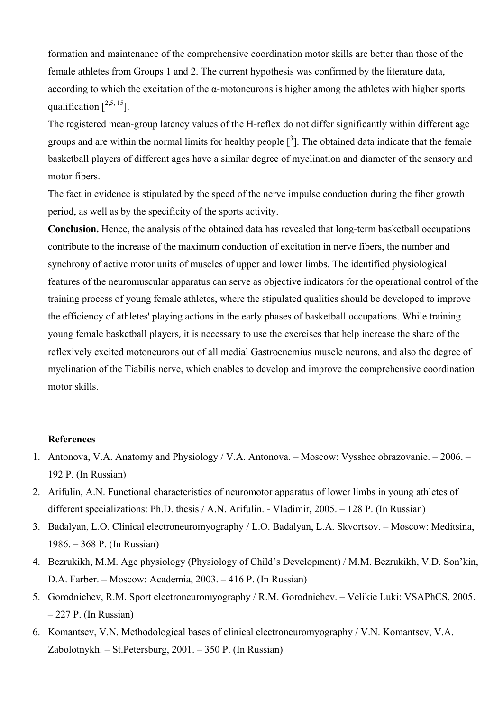formation and maintenance of the comprehensive coordination motor skills are better than those of the female athletes from Groups 1 and 2. The current hypothesis was confirmed by the literature data, according to which the excitation of the α-motoneurons is higher among the athletes with higher sports qualification  $[<sup>2,5, 15</sup>]$ .

The registered mean-group latency values of the H-reflex do not differ significantly within different age groups and are within the normal limits for healthy people  $\left[\begin{array}{c}3\end{array}\right]$ . The obtained data indicate that the female basketball players of different ages have a similar degree of myelination and diameter of the sensory and motor fibers.

The fact in evidence is stipulated by the speed of the nerve impulse conduction during the fiber growth period, as well as by the specificity of the sports activity.

**Conclusion.** Hence, the analysis of the obtained data has revealed that long-term basketball occupations contribute to the increase of the maximum conduction of excitation in nerve fibers, the number and synchrony of active motor units of muscles of upper and lower limbs. The identified physiological features of the neuromuscular apparatus can serve as objective indicators for the operational control of the training process of young female athletes, where the stipulated qualities should be developed to improve the efficiency of athletes' playing actions in the early phases of basketball occupations. While training young female basketball players, it is necessary to use the exercises that help increase the share of the reflexively excited motoneurons out of all medial Gastrocnemius muscle neurons, and also the degree of myelination of the Tiabilis nerve, which enables to develop and improve the comprehensive coordination motor skills.

## **References**

- 1. Antonova, V.A. Anatomy and Physiology / V.A. Antonova. Moscow: Vysshee obrazovanie. 2006. 192 P. (In Russian)
- 2. Arifulin, A.N. Functional characteristics of neuromotor apparatus of lower limbs in young athletes of different specializations: Ph.D. thesis / A.N. Arifulin. - Vladimir, 2005. – 128 P. (In Russian)
- 3. Badalyan, L.O. Clinical electroneuromyography / L.O. Badalyan, L.A. Skvortsov. Moscow: Meditsina, 1986. – 368 P. (In Russian)
- 4. Bezrukikh, M.M. Age physiology (Physiology of Child's Development) / M.M. Bezrukikh, V.D. Son'kin, D.A. Farber. – Moscow: Academia, 2003. – 416 P. (In Russian)
- 5. Gorodnichev, R.M. Sport electroneuromyography / R.M. Gorodnichev. Velikie Luki: VSAPhCS, 2005. – 227 P. (In Russian)
- 6. Komantsev, V.N. Methodological bases of clinical electroneuromyography / V.N. Komantsev, V.A. Zabolotnykh. – St.Petersburg, 2001. – 350 P. (In Russian)